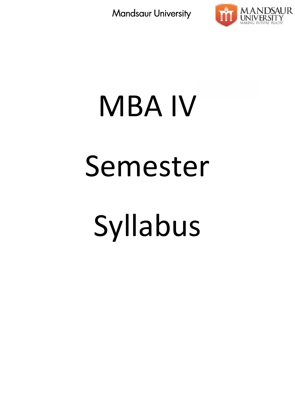

# MBA IV Semester Syllabus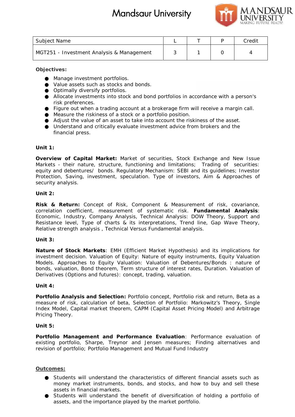# **Mandsaur University** Product



| Subject Name                              |  | Credit |
|-------------------------------------------|--|--------|
| MGT251 - Investment Analysis & Management |  |        |

**Objectives:**

Manage investment portfolios.

Value assets such as stocks and bonds.

Optimally diversify portfolios.

Value assets such as stocks and bonds.<br>Optimally diversify portfolios.<br>Allocate investments into stock and bond portfolios in accordance with a person's risk preferences.

Figure out when a trading account at a brokerage firm will receive a margin call. Measure the riskiness of a stock or a portfolio position. Figure out when a trading account at a brokerage firm will receive a margin call.<br>Measure the riskiness of a stock or a portfolio position.<br>Adjust the value of an asset to take into account the riskiness of the asset.

Understand and critically evaluate investment advice from brokers and the financial press.

## **Unit 1:**

*Overview of Capital Market:* Market of securities, Stock Exchange and New Issue Markets - their nature, structure, functioning and limitations; Trading of securities: equity and debentures/ bonds. Regulatory Mechanism: SEBI and its guidelines; Investor Protection, Saving, investment, speculation. Type of investors, Aim & Approaches of security analysis. of Capital Market: Market of securities, Stock Exchange and New Issue<br>their nature, structure, functioning and limitations; Trading of securities<br>debentures/ bonds. Regulatory Mechanism: SEBI and its guidelines; Investo<br>Sa characteristics in the matrix of the matrix of the matrix of the matrix of the matrix of the matrix and the matrix of the matrix of the matrix of the matrix of the matrix of the matrix of the matrix of the matrix of the ma

## **Unit 2:**

*Risk & Return***:** Concept of Risk, Component & Measurement of risk, covariance, correlation coefficient, measurement of systematic risk. *Fundamental Analysis*: Economic, Industry, Company Analysis, Technical Analysis: DOW Theory, Support and Resistance level, Type of charts & its interpretations, Trend line, Gap Wave Theory, Relative strength analysis , Technical Versus Fundamental analysis. y, Company Analysis, Technical Analysis: DOW Theory,<br>Type of charts & its interpretations, Trend line, Gap V<br>Inalysis , Technical Versus Fundamental analysis.

## **Unit 3:**

*Nature of Stock Markets:* EMH (Efficient Market Hypothesis) and its implications for Nature of Stock Markets: EMH (Efficient Market Hypothesis) and its implications for<br>investment decision. Valuation of Equity: Nature of equity instruments, Equity Valuation Models. Approaches to Equity Valuation: Valuation of Debentures/Bonds : nature of Models. Approaches to Equity Valuation: Valuation of Debentures/Bonds : nature of<br>bonds, valuation, Bond theorem, Term structure of interest rates, Duration. Valuation of Derivatives (Options and futures): concept, trading, valuation.

## **Unit 4:**

*Portfolio Analysis and Selection***:** Portfolio concept, Portfolio risk and return, Beta as a measure of risk, calculation of beta, Selection of Portfolio: Markowitz's Theory, Single Index Model, Capital market theorem, CAPM (Capital Asset Pricing Model) and Arbitrage Pricing Theory. ilio Analysis and Selection: Portfolio concept, Portfolio risk and return, Beta as<br>re of risk, calculation of beta, Selection of Portfolio: Markowitz's Theory, Singl<br>Model, Capital market theorem, CAPM (Capital Asset Prici

## **Unit 5:**

*Portfolio Management and Performance Evaluation*: Performance evaluation of existing portfolio, Sharpe, Treynor and Jensen measures; Finding alternatives and revision of portfolio; Portfolio Management and Mutual Fund Industry Management and Performance Evaluation: Performance evaluatio<br>prtfolio, Sharpe, Treynor and Jensen measures; Finding alternatives<br>portfolio; Portfolio Management and Mutual Fund Industry

## **Outcomes:**

Students will understand the characteristics of different financial assets such as money market instruments, bonds, and stocks, and how to buy and sell these assets in financial markets.

Students will understand the benefit of diversification of holding a portfolio of assets, and the importance played by the market portfolio.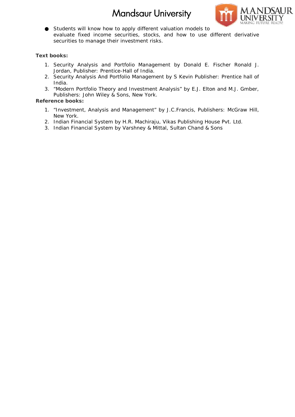## **Mandsaur University** Product



Students will know how to apply different valuation models to Students will know how to apply different valuation models to<br>evaluate fixed income securities, stocks, and how to use different derivative securities to manage their investment risks.

**Text books: books:**

- 1. Security Analysis and Portfolio Management by Donald E. Fischer Ronald J. Jordan, Publisher: Prentice-Hall of India. urities to<br>s:<br>s:<br>urity Ana<br>dan, Publi<br>a.<br>dern Port<br>lishers: J<br>> books:<br>vestment,<br>ν York.<br>an Finan<br>an Finan
- 2. Security Analysis And Portfolio Management by S Kevin Publisher: Prentice hall of India.
- 3. "Modern Portfolio Theory and Investment Analysis" by E.J. Elton and M.J. Gmber, Publishers: John Wiley & Sons, New York.

- 1. "Investment, Analysis and Management" by J.C.Francis, Publishers: McGraw Hill, New York.
- 2. Indian Financial System by H.R. Machiraju, Vikas Publishing House Pvt. Ltd.
- 3. Indian Financial System by Varshney & Mittal, Sultan Chand & Sons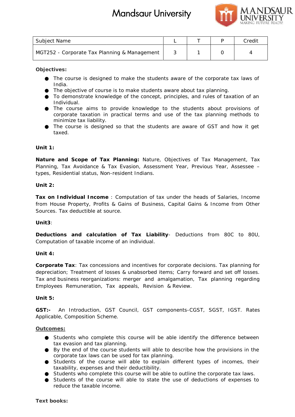

| Subject Name                                 |  | Credit |
|----------------------------------------------|--|--------|
| MGT252 - Corporate Tax Planning & Management |  |        |

**Objectives:**

The course is designed to make the students aware of the corporate tax laws of India.

The objective of course is to make students aware about tax planning.

To demonstrate knowledge of the concept, principles, and rules of taxation of an Individual. To demonstrate knowledge of the concept, principles, and rules of taxation of an<br>Individual.<br>The course aims to provide knowledge to the students about provisions of

corporate taxation in practical terms and use of the tax planning methods to minimize tax liability.

minimize tax liability.<br>The course is designed so that the students are aware of GST and how it get taxed.

**Unit 1:**

*Nature and Scope of Tax Planning***:** Nature, Objectives of Tax Management, Tax Nature and Scope of Tax Planning: Nature, Objectives of Tax Management, Tax<br>Planning, Tax Avoidance & Tax Evasion, Assessment Year, Previous Year, Assessee – types, Residential status, Non-resident Indians.

**Unit 2:**

*Tax on Individual Income* : Computation of tax under the heads of Salaries, Income from House Property, Profits & Gains of Business, Capital Gains & Income from Other Sources. Tax deductible at source. Individual Income : Computation of tax under the heads of Salaries, Income<br>use Property, Profits & Gains of Business, Capital Gains & Income from Other<br>Tax deductible at source.

**Unit3**:

**Deductions and calculation of Tax Liability**- Deductions from 80C to 80U, Computation of taxable income of an individual.

**Unit 4:**

*Corporate Tax*: Tax concessions and incentives for corporate decisions. Tax planning for depreciation; Treatment of losses & unabsorbed items; Carry forward and set off losses. Tax and business reorganizations: merger and amalgamation, Tax planning regarding Employees Remuneration, Tax appeals, Revision & Review. Deductions and calculation of Tax Liability- Deductions from 80C to 80U,<br>Computation of taxable income of an individual.<br>Unit 4:<br>Corporate Tax: Tax concessions and incentives for corporate decisions. Tax planning for<br>Grepo **books:**Credit & Tax IGST. explain

**Unit 5:**

*GST:-* An Introduction, GST Council, GST components-CGST, SGST, IGST. Rates Applicable, Composition Scheme.

## **Outcomes:**

Students who complete this course will be able identify the difference between tax evasion and tax planning.

By the end of the course students will able to describe how the provisions in the corporate tax laws can be used for tax planning.

Students of the course will able to explain different types of incomes, their taxability, expenses and their deductibility.

Students who complete this course will be able to outline the corporate tax laws.

Students of the course will able to state the use of deductions of expenses to reduce the taxable income.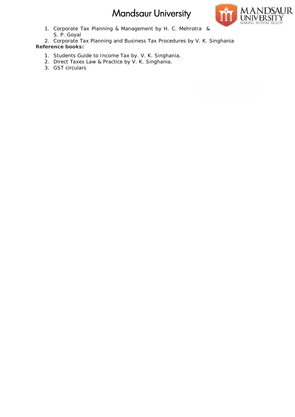

1. Corporate Tax Planning & Management by H. C. Mehrotra & S. P. Goyal S. P. Goyal

2. Corporate Tax Planning and Business Tax Procedures by V. K. Singhania **Reference books:** porate Tax Planning &<br>P. Goyal<br>porate Tax Planning and<br>Phooks:<br>dents Guide to Income<br>ect Taxes Law & Practic<br>Ticirculars

- 1. Students Guide to Income Tax by. V. K. Singhania,
- 2. Direct Taxes Law & Practice by V. K. Singhania.
- 3. GST circulars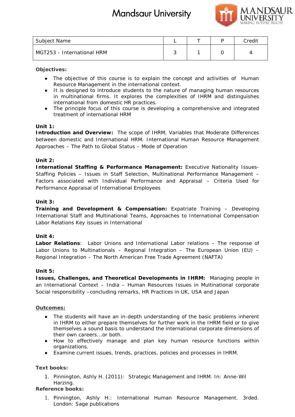

| Subject Name               |  | Credit |
|----------------------------|--|--------|
| MGT253 - International HRM |  |        |

**Objectives:**

The objective of this course is to explain the concept and activities of Human Resource Management in the international context.

It is designed to introduce students to the nature of managing human resources in multinational firms. It explores the complexities of IHRM and distinguishes international from domestic HR practices. The objective of this course is to explain the concept and activities of Human Resource Management in the international context.<br>It is designed to introduce students to the nature of managing human resources<br>in multination

The principle focus of this course is developing a comprehensive and integrated treatment of international HRM

**Unit 1:**

*Introduction and Overview:* The scope of IHRM, Variables that Moderate Differences between domestic and International HRM. International Human Resource Management Approaches – The Path to Global Status – Mode of Operation

## **Unit 2:**

*International Staffing & Performance Management:* Executive Nationality Issues- *Management:* Staffing Policies – Issues in Staff Selection, Multinational Performance Management – Factors associated with Individual Performance and Appraisal – Criteria Used for Performance Appraisal of International Employees Name<br>
International HRM<br>
International HRM<br>
International HRM<br>
International HRM<br>
International HRM<br>
Revenue of this counter is to explain the concept and activities of Human<br>
International removements in the including un

## **Unit 3:**

*Training and Development & Compensation:* Expatriate Training – Developing International Staff and Multinational Teams, Approaches to International Compensation Labor Relations Key issues in International

**Unit 4:**

*Labor Relations*: Labor Unions and International Labor relations – The response of Labor Unions to Multinationals – Regional Integration – The European Union (EU) – Regional Integration – The North American Free Trade Agreement (NAFTA) Policies – Issues in Staff Selection, Multinational Performance Manage<br>associated with Individual Performance and Appraisal – Criteria U<br>nce Appraisal of International Employees<br>4<br>1 and Development & Compensation: Expatria

## **Unit 5:**

*Issues, Challenges, and Theoretical Developments in IHRM:* Managing people in Issues, Challenges, and Theoretical Developments in IHRM: Managing people in<br>an International Context – India – Human Resources Issues in Multinational corporate Social responsibility –concluding remarks, HR Practices in UK, USA and Japan

## **Outcomes:**

The students will have an in-depth understanding of the basic problems inherent in IHRM to either prepare themselves for further work in the IHRM field or to give themselves a sound basis to understand the international corporate dimensions of their own careers...or both. responsibility –concluding remarks, HR Practices in UK, USA and Japan<br>
<u>mes:</u><br>
The students will have an in-depth understanding of the basic problems inhe<br>
in IHRM to either prepare themselves for further work in the IHRM

How to effectively manage and plan key human resource functions within organizations.

Examine current issues, trends, practices, policies and processes in IHRM.

**Text books: books:**

1. Pinnington, Ashly H. (2011): Strategic Management and IHRM. In: Anne-Wil Harzing.

**Reference books:**

1. Pinnington, Ashly H.: International Human Resource Management. 3rded. London: Sage publications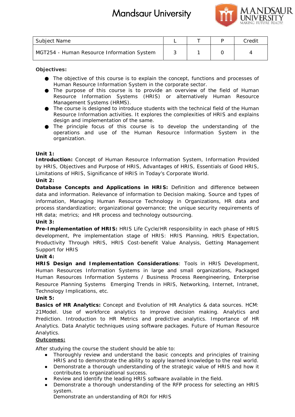

| Subject Name                               |  | Credit |
|--------------------------------------------|--|--------|
| MGT254 - Human Resource Information System |  |        |

**Objectives:**

The objective of this course is to explain the concept, functions and processes of Human Resource Information System in the corporate sector.

The purpose of this course is to provide an overview of the field of Human Resource Information Systems (HRIS) or alternatively Human Resource Management Systems (HRMS). The objective of this course is to explain the concept, functions and processes<br>Human Resource Information System in the corporate sector.<br>The purpose of this course is to provide an overview of the field of Huma<br>Resource

The course is designed to introduce students with the technical field of the Human Resource Information activities. It explores the complexities of HRIS and explains design and implementation of the same.

The principle focus of this course is to develop the understanding of the operations and use of the Human Resource Information System in the organization.

**Unit 1:**

*Introduction:* Concept of Human Resource Information System, Information Provided by HRIS, Objectives and Purpose of HRIS, Advantages of HRIS, Essentials of Good HRIS, Limitations of HRIS, Significance of HRIS in Today's Corporate World. field sourse is designed to introduce students with the technical field<br>source Information activities. It explores the complexities of HRIS<br>sign and implementation of the same.<br>e-principle focus of this course is to develo

## **Unit 2:**

*Database Concepts and Applications in HRIS:* Definition and difference between data and information. Relevance of information to Decision making. Source and types of information, Managing Human Resource Technology in Organizations, HR data and process standardization; organizational governance; the unique security requirements of HR data; metrics; and HR process and technology outsourcing. Database Concepts and Applications in HRIS: Definition and difference between<br>data and information. Relevance of information to Decision making. Source and types of<br>information, Managing Human Resource Technology in Organi Name<br>
Name<br>
A - Numan Resource Information System into concept, functions and processes of<br>
News.<br>
News.<br>
News.<br>
News. The operator information System in the concept such in the different Resource of this concept<br>
Have Res

**Unit 3:**

*Pre-Implementation of HRIS:* HRIS Life Cycle/HR responsibility in each phase of HRIS development, Pre implementation stage of HRIS: HRIS Planning, HRIS Expectation, Productivity Through HRIS, HRIS Cost-benefit Value Analysis, Getting Management Support for HRIS

**Unit 4:**

*HRIS Design and Implementation Considerations*: Tools in HRIS Development, Human Resources Information Systems in large and small organizations, Packaged Human Resources Information Systems / Business Process Reengineering, Enterprise Productivity Through HRIS, HRIS Cost-benefit Value Analysis, Getting Management<br>
Support for HRIS<br>
Unit 4:<br>
HRIS Design and Implementation Considerations: Tools in HRIS Development,<br>
Human Resources Information Systems in Technology Implications, etc.

**Unit 5:**

*Basics of HR Analytics:* Concept and Evolution of HR Analytics & data sources. HCM: 21Model. Use of workforce analytics to improve decision making. Analytics and Prediction. Introduction to HR Metrics and predictive analytics. Importance of HR Analytics. Data Analytic techniques using software packages. Future of Human Resource Analytics. *Analytics:* Concept and Evolution of HR Analytics & data sources. HCM:<br> *Analytics* and<br> *Analytics* and *Analytic techniques* using software packages. Future of Human Resource<br> *Analytic techniques* using software packag

## **Outcomes:**

After studying the course the student should be able to:

Thoroughly review and understand the basic concepts and principles of training HRIS and to demonstrate the ability to apply learned knowledge to the real world. Demonstrate a thorough understanding of the strategic value of HRIS and how it contributes to organizational success.

Review and identify the leading HRIS software available in the field.

Demonstrate a thorough understanding of the RFP process for selecting an HRIS system.

Demonstrate an understanding of ROI for HRIS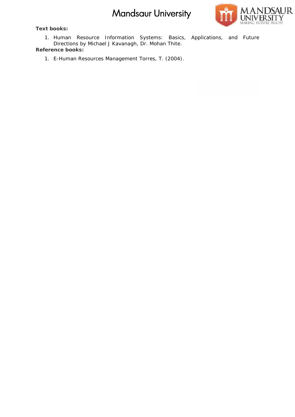**Text books: books:**

**NDSAUR** MAKING FUTURE READY!

1. Human Resource Information Systems: Basics, Applications, and Future Directions by *Michael J Kavanagh, Dr. Mohan Thite*. **Reference books:**

1. E-Human Resources Management *Torres, T. (2004)*.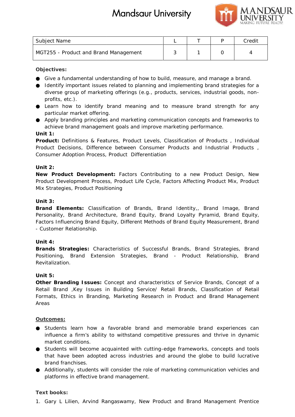

| Subject Name                          |  | Credit |
|---------------------------------------|--|--------|
| MGT255 - Product and Brand Management |  |        |

## **Objectives:**

Give a fundamental understanding of how to build, measure, and manage a brand. Give a fundamental understanding of how to build, measure, and manage a brand.<br>Identify important issues related to planning and implementing brand strategies for a diverse group of marketing offerings (e.g., products, services, industrial goods, nonprofits, etc.).

Learn how to identify brand meaning and to measure brand strength for any particular market offering.

Apply branding principles and marketing communication concepts and frameworks to achieve brand management goals and improve marketing performance. Learn how to identify brand meaning and to measure brand strength for any<br>particular market offering.<br>Apply branding principles and marketing communication concepts and frameworks to<br>achieve brand management goals and impr

**Unit 1:**

*Product***:** Definitions & Features, Product Levels, Classification of Products , Individual Product Decisions, Difference between Consumer Products and Industrial Products , Consumer Adoption Process, Product Differentiation

## **Unit 2:**

*New Product Development***:** Factors Contributing to a new Product Design, New Product Development Process, Product Life Cycle, Factors Affecting Product Mix, Product Mix Strategies, Product Positioning

## **Unit 3:**

*Brand Elements:* Classification of Brands, Brand Identity,, Brand Image, Brand Personality, Brand Architecture, Brand Equity, Brand Loyalty Pyramid, Brand Equity, Factors Influencing Brand Equity, Different Methods of Brand Equity Measurement, Brand - Customer Relationship. roduct Development: Factors Contributing to a new Product Design, New<br>Development Process, Product Life Cycle, Factors Affecting Product Mix, Product<br>tegies, Product Positioning<br>Elements: Classification of Brands, Brand Id Name<br>
Arvine Credit Arrival and Management<br>
Somewhear and Brand Management<br>
Somewheart statistic product measure, and manage a brand<br>
Drival:<br>
Name and the measure related to planning and to measure brand attenting product

## **Unit 4:**

*Brands Strategies***:** Characteristics of Successful Brands, Brand Strategies, Brand **:**Positioning, Brand Extension Strategies, Brand - Product Relationship, Brand Revitalization.

## **Unit 5:**

*Other Branding Issues***:** Concept and characteristics of Service Brands, Concept of a Retail Brand ,Key Issues in Building Service/ Retail Brands, Classification of Retail Formats, Ethics in Branding, Marketing Research in Product and Brand Management Areas Branding Issues: Concept and characteristics of Service Brands, Concept of a<br>Brand ,Key Issues in Building Service/ Retail Brands, Classification of Retail<br>s, Ethics in Branding, Marketing Research in Product and Brand Man

## **Outcomes:**

Students learn how a favorable brand and memorable brand experiences can influence a firm's ability to withstand competitive pressures and thrive in dynamic market conditions.

Students will become acquainted with cutting-edge frameworks, concepts and tools that have been adopted across industries and around the globe to build lucrative brand franchises. influence a firm's ability to withstand competitive pressures and thrive in<br>market conditions.<br>Students will become acquainted with cutting-edge frameworks, concepts at<br>that have been adopted across industries and around t

Additionally, students will consider the role of marketing communication vehicles and platforms in effective brand management.

## **Text books: books:**

1. Gary L Lilien, Arvind Rangaswamy, New Product and Brand Management Prentice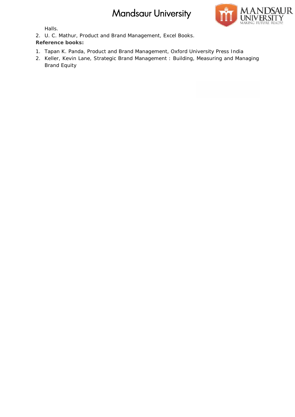

Halls.

2. U. C. Mathur, Product and Brand Management, Excel Books.

- 1. Tapan K. Panda, Product and Brand Management, Oxford University Press India
- 2. U. C. Mathur, Product and Brand Management, Excel Books.<br>Reference books:<br>1. Tapan K. Panda, Product and Brand Management, Oxford University Press India<br>2. Keller, Kevin Lane, Strategic Brand Management : Building, M Brand Equity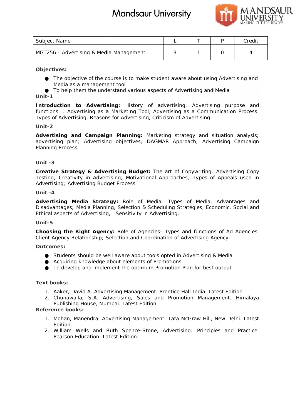

| Subject Name                                                                                                                                                                                                                                     | L | $\top$ | $\mathsf{P}$ | Credit |
|--------------------------------------------------------------------------------------------------------------------------------------------------------------------------------------------------------------------------------------------------|---|--------|--------------|--------|
| MGT256 - Advertising & Media Management                                                                                                                                                                                                          | 3 | 1      | 0            | 4      |
| Objectives:                                                                                                                                                                                                                                      |   |        |              |        |
| The objective of the course is to make student aware about using Advertising and<br>Media as a management tool<br>To help them the understand various aspects of Advertising and Media<br>Unit-1                                                 |   |        |              |        |
| Introduction to Advertising: History of advertising, Advertising purpose and<br>functions; . Advertising as a Marketing Tool, Advertising as a Communication Process.<br>Types of Advertising, Reasons for Advertising, Criticism of Advertising |   |        |              |        |
| Unit-2                                                                                                                                                                                                                                           |   |        |              |        |
| Advertising and Campaign Planning: Marketing strategy and situation analysis;<br>advertising plan; Advertising objectives; DAGMAR Approach; Advertising Campaign<br>Planning Process.                                                            |   |        |              |        |
| Unit-3                                                                                                                                                                                                                                           |   |        |              |        |
| Creative Strategy & Advertising Budget: The art of Copywriting; Advertising Copy<br>Testing; Creativity in Advertising; Motivational Approaches; Types of Appeals used in<br>Advertising; Advertising Budget Process                             |   |        |              |        |
| Unit-4                                                                                                                                                                                                                                           |   |        |              |        |
| Advertising Media Strategy: Role of Media; Types of Media, Advantages and<br>Disadvantages; Media Planning, Selection & Scheduling Strategies, Economic, Social and<br>Ethical aspects of Advertising, Sensitivity in Advertising.               |   |        |              |        |
| Unit-5                                                                                                                                                                                                                                           |   |        |              |        |
| Choosing the Right Agency: Role of Agencies- Types and functions of Ad Agencies,<br>Client Agency Relationship; Selection and Coordination of Advertising Agency.                                                                                |   |        |              |        |
| Outcomes:                                                                                                                                                                                                                                        |   |        |              |        |
| Students should be well aware about tools opted in Advertising & Media<br>Acquiring knowledge about elements of Promotions<br>To develop and implement the optimum Promotion Plan for best output                                                |   |        |              |        |
| Text books:                                                                                                                                                                                                                                      |   |        |              |        |
| 1. Aaker, David A. Advertising Management. Prentice Hall India. Latest Edition<br>2. Chunawalla, S.A. Advertising, Sales and Promotion Management. Himalaya<br>Publishing House, Mumbai. Latest Edition.<br>Reference books:                     |   |        |              |        |
| 1. Mohan, Manendra, Advertising Management. Tata McGraw Hill, New Delhi. Latest                                                                                                                                                                  |   |        |              |        |
| Edition.<br>2. William Wells and Ruth Spence-Stone, Advertising: Principles and Practice.<br>Pearson Education. Latest Edition.                                                                                                                  |   |        |              |        |

#### **Objectives:**

#### **Unit-1**

#### **Unit-2**

#### **Unit -3**

## **Unit -4**

#### **Unit-5**

#### **Outcomes:**

- 1. Aaker, David A. Advertising Management. Prentice Hall India. Latest Edition
- 2. Chunawalla, S.A. Advertising, Sales and Promotion Management. Himalaya Chunawalla, S.A. Advertising, Sales and P<br>Publishing House, Mumbai. Latest Edition.

- 1. Mohan, Manendra, Advertising Management. Tata McGraw Hill, New Delhi. Latest Manendra, Hill, Edition.
- 2. William Wells and Ruth Spence-Stone, Advertising: Principles and Practice. Pearson Education. Latest Edition.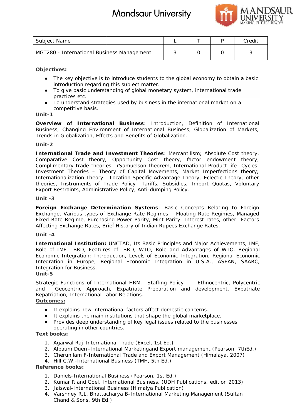

| Subject Name                               |  | Credit |
|--------------------------------------------|--|--------|
| MGT280 - International Business Management |  |        |

**Objectives:**

The key objective is to introduce students to the global economy to obtain a basic introduction regarding this subject matter.

introduction regarding this subject matter.<br>To give basic understanding of global monetary system, international trade practices etc.

To understand strategies used by business in the international market on a competitive basis.

#### **Unit-1**

*Overview of International Business*: Introduction, Definition of International Overview of International Business: Introduction, Definition of International<br>Business, Changing Environment of International Business, Globalization of Markets, Trends in Globalization, Effects and Benefits of Globalization.

#### **Unit-2**

*International Trade and Investment Theories*: Mercantilism; Absolute Cost theory, *Trade* Comparative Cost theory, Opportunity Cost theory, factor endowment theory, Complimentary trade theories –rSamuelson theorem, International Product life Cycles. Investment Theories – Theory of Capital Movements, Market Imperfections theory; Internationalization Theory; Location Specific Advantage Theory; Eclectic Theory; other Comparative Cost theory, Opportunity Cost theory, factor endowment theory,<br>Complimentary trade theories – Tamuelson theorem, International Product life Cycles.<br>Investment Theories – Theory of Capital Movements, Market Impe Export Restraints, Administrative Policy, Anti-dumping Policy. Et Manne<br>
R. Manne<br>
R. L. International Business Management<br>
R. L. International Business Management<br>
Critics:<br>
The key objective is to introduce students to the global economy to othern a basis<br>
international regularity t

#### **Unit -3**

*Foreign Exchange Determination Systems*: Basic Concepts Relating to Foreign Foreign Exchange Determination Systems: Basic Concepts Relating to Foreign<br>Exchange, Various types of Exchange Rate Regimes – Floating Rate Regimes, Managed Fixed Rate Regime, Purchasing Power Parity, Mint Parity, Interest rates, other Factors Affecting Exchange Rates, Brief History of Indian Rupees Exchange Rates.

#### **Unit -4**

*International Institution:* UNCTAD, Its Basic Principles and Major Achievements, IMF, Role of IMF, IBRD, Features of IBRD, WTO, Role and Advantages of WTO. Regional Economic Integration: Introduction, Levels of Economic Integration, Regional Economic Integration in Europe, Regional Economic Integration in U.S.A., ASEAN, SAARC, Integration for Business. e Regime, Purchasing Power Parity, Mint Parity, Interest rates, other Factors<br>Exchange Rates, Brief History of Indian Rupees Exchange Rates.<br>Principles IMF, IMF, IMF, IMF, IBRD, Features of IBRD, WTO, Role and Advantages o Integration in Europe, Regional Economic Integration in U.S.A., ASEAN,<br>Integration-for-Business.<br>Unit-5<br>Strategic Functions of International HRM, Staffing Policy – Ethnocentric, Po<br>and - Geocentric Approach, Expatriate Pre

**Unit-5**

Strategic Functions of International HRM, Staffing Policy – Ethnocentric, Polycentric and Geocentric Approach, Expatriate Preparation and development, Expatriate Repatriation, International Labor Relations.

## **Outcomes:**

It explains how international factors affect domestic concerns. It explains the main institutions that shape the global marketplace. Provides deep understanding of key legal issues related to the businesses operating in other countries.

**Text books: books:**

- 1. Agarwal Raj-International Trade (Excel, 1st Ed.)
- 2. Albaum Duerr-International Marketingand Export management (Pearson, 7thEd.)
- 3. Cherunilam F-International Trade and Export Management (Himalaya, 2007)
- 4. Hill C.W.-International Business (TMH, 5th Ed.)

- 1. Daniels-International Business (Pearson, 1st Ed.)
- 2. Kumar R and Goel, International Business, (UDH Publications, edition 2013)
- 3. Jaiswal-International Business (Himalya Publication)
- 4. Varshney R.L, Bhattacharya B-International Marketing Management (Sultan Chand & Sons, 9th Ed.)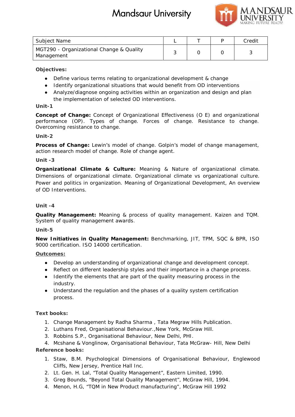

| Subject Name                                           |  | Credit |
|--------------------------------------------------------|--|--------|
| MGT290 - Organizational Change & Quality<br>Management |  |        |

## **Objectives:**

Define various terms relating to organizational development & change Identify organizational situations that would benefit from OD interventions Analyze/diagnose ongoing activities within an organization and design and plan the implementation of selected OD interventions.

## **Unit-1**

*Concept of Change***:** Concept of Organizational Effectiveness (O E) and organizational performance (OP). Types of change. Forces of change. Resistance to change. Overcoming resistance to change. of Change: Concept of Organizational Effe<br>ice (OP). Types of change. Forces of<br>ng resistance to change.<br>of Change: Lewin's model of change. Golpi

## **Unit-2**

*Process of Change***:** Lewin's model of change. Golpin's model of change management, action research model of change. Role of change agent.

## **Unit -3**

*Organizational Climate & Culture***:** Meaning & Nature of organizational climate. Dimensions of organizational climate. Organizational climate vs organizational culture. Power and politics in organization. Meaning of Organizational Development, An overview of OD Interventions. Organizational Climate & Culture: Meaning & Nature of organizational climate.<br>Dimensions of organizational climate. Organizational climate vs organizational culture.<br>Power and politics in organization. Meaning of Organizat Et Rame<br>
Et Rame<br>
Ethera.<br>
Entimate The Management of the particular Scheduler Hill. 1992<br>
Northern and the main of the particular state of the particular state of the Manusia Credit<br>
Leading Credit Credit Credit Credit Cr

## **Unit -4**

*Quality Management***:** Meaning & process of quality management. Kaizen and TQM. *Quality* Meaning process System of quality management awards.

## **Unit-5**

*New Initiatives in Quality Management***:** Benchmarking, JIT, TPM, SQC & BPR, ISO *Initiatives Quality* **:**JIT, 9000 certification. ISO 14000 certification.

## **Outcomes:**

Develop an understanding of organizational change and development concept. Develop an understanding of organizational change and development concept.<br>Reflect on different leadership styles and their importance in a change process. Identify the elements that are part of the quality measuring process in the industry. Identify the elements that are part of the quality measuring process in the<br>industry.<br>Understand the regulation and the phases of a quality system certification

process.

## **Text books: books:**

- 1. Change Management by Radha Sharma, Tata Megraw Hills Publication.
- 2. Luthans Fred, Organisational Behaviour.,New York, McGraw Hill.
- 3. Robbins S.P., Organisational Behaviour, New Delhi, PHI.

4. Mcshane & Vonglinow, Organisational Behaviour, Tata McGraw- Hill, New Delhi **Reference books:** erence books:<br>1. Staw, B.M. Psychological Dimensions of Organisational Behaviour, Englewood

- Cliffs, New Jersey, Prentice Hall Inc.
- 2. Lt. Gen. H. Lal, "Total Quality Management", Eastern Limited, 1990.
- 3. Greg Bounds, "Beyond Total Quality Management", McGraw Hill, 1994.
- 4. Menon, H.G, "TQM in New Product manufacturing", McGraw Hill 1992